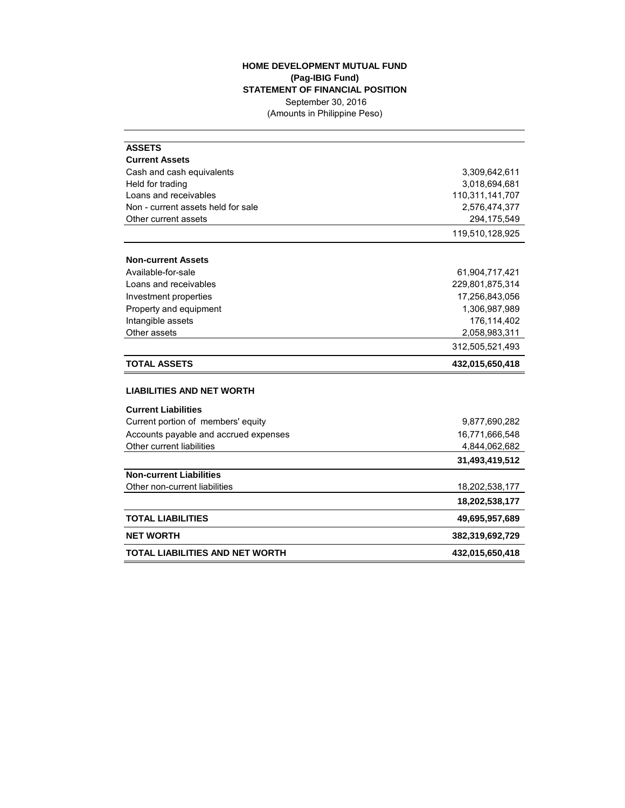## **HOME DEVELOPMENT MUTUAL FUND (Pag-IBIG Fund) STATEMENT OF FINANCIAL POSITION** September 30, 2016 (Amounts in Philippine Peso)

| <b>ASSETS</b>                          |                 |  |  |
|----------------------------------------|-----------------|--|--|
| <b>Current Assets</b>                  |                 |  |  |
| Cash and cash equivalents              | 3,309,642,611   |  |  |
| Held for trading                       | 3,018,694,681   |  |  |
| Loans and receivables                  | 110,311,141,707 |  |  |
| Non - current assets held for sale     | 2,576,474,377   |  |  |
| Other current assets                   | 294,175,549     |  |  |
|                                        | 119,510,128,925 |  |  |
| <b>Non-current Assets</b>              |                 |  |  |
| Available-for-sale                     | 61,904,717,421  |  |  |
| Loans and receivables                  | 229,801,875,314 |  |  |
| Investment properties                  | 17,256,843,056  |  |  |
| Property and equipment                 | 1,306,987,989   |  |  |
| Intangible assets                      | 176,114,402     |  |  |
| Other assets                           | 2,058,983,311   |  |  |
|                                        | 312,505,521,493 |  |  |
| <b>TOTAL ASSETS</b>                    | 432,015,650,418 |  |  |
| <b>LIABILITIES AND NET WORTH</b>       |                 |  |  |
| <b>Current Liabilities</b>             |                 |  |  |
| Current portion of members' equity     | 9,877,690,282   |  |  |
| Accounts payable and accrued expenses  | 16,771,666,548  |  |  |
| Other current liabilities              | 4,844,062,682   |  |  |
|                                        | 31,493,419,512  |  |  |
| <b>Non-current Liabilities</b>         |                 |  |  |
| Other non-current liabilities          | 18,202,538,177  |  |  |
|                                        | 18,202,538,177  |  |  |
| <b>TOTAL LIABILITIES</b>               | 49,695,957,689  |  |  |
| <b>NET WORTH</b>                       | 382,319,692,729 |  |  |
| <b>TOTAL LIABILITIES AND NET WORTH</b> | 432,015,650,418 |  |  |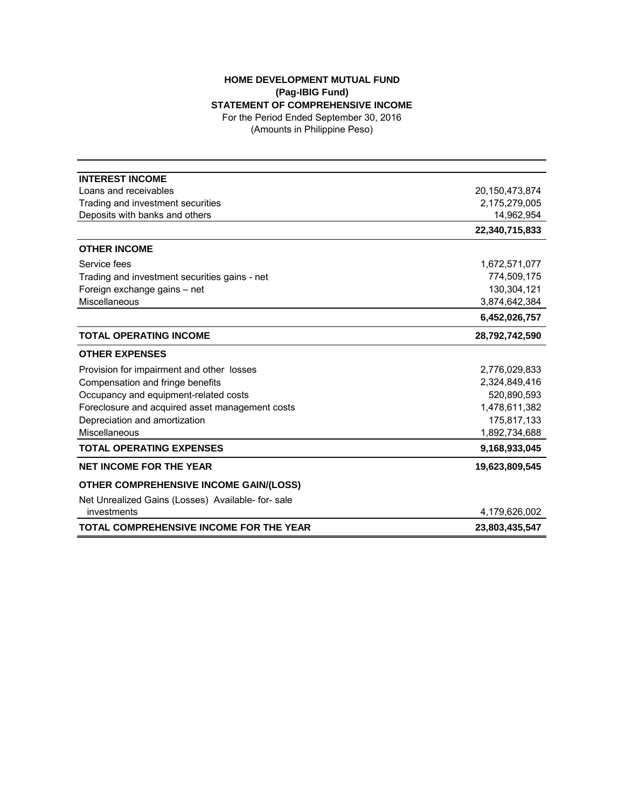## **HOME DEVELOPMENT MUTUAL FUND (Pag-IBIG Fund) STATEMENT OF COMPREHENSIVE INCOME** For the Period Ended September 30, 2016

(Amounts in Philippine Peso)

| <b>INTEREST INCOME</b>                            |                |
|---------------------------------------------------|----------------|
| Loans and receivables                             | 20,150,473,874 |
| Trading and investment securities                 | 2,175,279,005  |
| Deposits with banks and others                    | 14,962,954     |
|                                                   | 22,340,715,833 |
| <b>OTHER INCOME</b>                               |                |
| Service fees                                      | 1,672,571,077  |
| Trading and investment securities gains - net     | 774,509,175    |
| Foreign exchange gains - net                      | 130,304,121    |
| Miscellaneous                                     | 3,874,642,384  |
|                                                   | 6,452,026,757  |
| <b>TOTAL OPERATING INCOME</b>                     | 28,792,742,590 |
| <b>OTHER EXPENSES</b>                             |                |
| Provision for impairment and other losses         | 2,776,029,833  |
| Compensation and fringe benefits                  | 2,324,849,416  |
| Occupancy and equipment-related costs             | 520,890,593    |
| Foreclosure and acquired asset management costs   | 1,478,611,382  |
| Depreciation and amortization                     | 175,817,133    |
| Miscellaneous                                     | 1,892,734,688  |
| <b>TOTAL OPERATING EXPENSES</b>                   | 9,168,933,045  |
| <b>NET INCOME FOR THE YEAR</b>                    | 19,623,809,545 |
| <b>OTHER COMPREHENSIVE INCOME GAIN/(LOSS)</b>     |                |
| Net Unrealized Gains (Losses) Available- for-sale |                |
| investments                                       | 4,179,626,002  |
| <b>TOTAL COMPREHENSIVE INCOME FOR THE YEAR</b>    | 23,803,435,547 |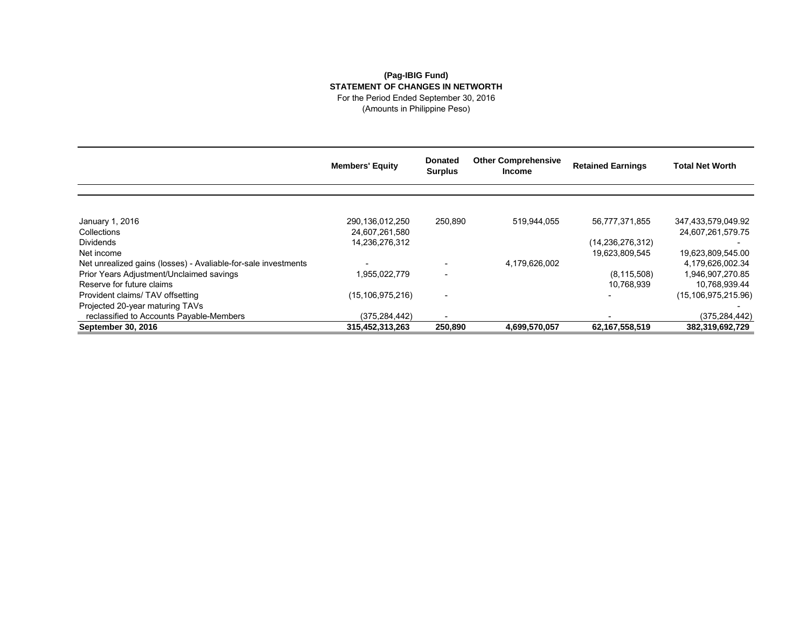## **(Pag-IBIG Fund) STATEMENT OF CHANGES IN NETWORTH** For the Period Ended September 30, 2016

(Amounts in Philippine Peso)

|                                                                | <b>Members' Equity</b> | <b>Donated</b><br><b>Surplus</b> | <b>Other Comprehensive</b><br><b>Income</b> | <b>Retained Earnings</b> | <b>Total Net Worth</b> |
|----------------------------------------------------------------|------------------------|----------------------------------|---------------------------------------------|--------------------------|------------------------|
|                                                                |                        |                                  |                                             |                          |                        |
| January 1, 2016                                                | 290,136,012,250        | 250,890                          | 519,944,055                                 | 56,777,371,855           | 347,433,579,049.92     |
| Collections                                                    | 24.607.261.580         |                                  |                                             |                          | 24,607,261,579.75      |
| <b>Dividends</b>                                               | 14,236,276,312         |                                  |                                             | (14,236,276,312)         |                        |
| Net income                                                     |                        |                                  |                                             | 19,623,809,545           | 19,623,809,545.00      |
| Net unrealized gains (losses) - Avaliable-for-sale investments |                        |                                  | 4,179,626,002                               |                          | 4,179,626,002.34       |
| Prior Years Adjustment/Unclaimed savings                       | 1,955,022,779          |                                  |                                             | (8, 115, 508)            | 1,946,907,270.85       |
| Reserve for future claims                                      |                        |                                  |                                             | 10,768,939               | 10,768,939.44          |
| Provident claims/ TAV offsetting                               | (15, 106, 975, 216)    |                                  |                                             |                          | (15, 106, 975, 215.96) |
| Projected 20-year maturing TAVs                                |                        |                                  |                                             |                          |                        |
| reclassified to Accounts Payable-Members                       | (375, 284, 442)        |                                  |                                             |                          | (375, 284, 442)        |
| September 30, 2016                                             | 315,452,313,263        | 250,890                          | 4,699,570,057                               | 62,167,558,519           | 382,319,692,729        |